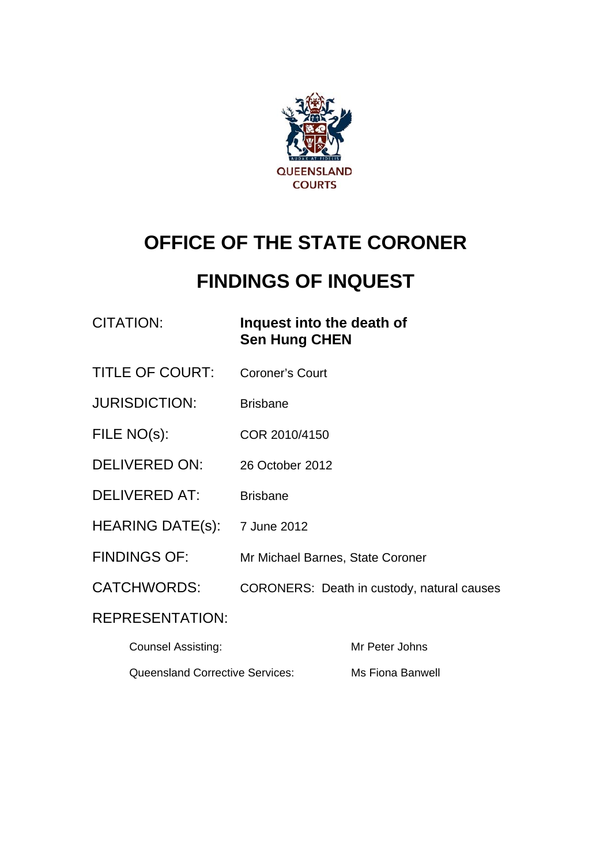

# **OFFICE OF THE STATE CORONER**

# **FINDINGS OF INQUEST**

| <b>CITATION:</b> |
|------------------|
|------------------|

# **Inquest into the death of Sen Hung CHEN**

- TITLE OF COURT: Coroner's Court
- JURISDICTION: Brisbane
- FILE NO(s): COR 2010/4150
- DELIVERED ON: 26 October 2012
- DELIVERED AT: Brisbane
- HEARING DATE(s): 7 June 2012
- FINDINGS OF: Mr Michael Barnes, State Coroner
- CATCHWORDS: CORONERS: Death in custody, natural causes

# REPRESENTATION:

| <b>Counsel Assisting:</b>       | Mr Peter Johns   |
|---------------------------------|------------------|
| Queensland Corrective Services: | Ms Fiona Banwell |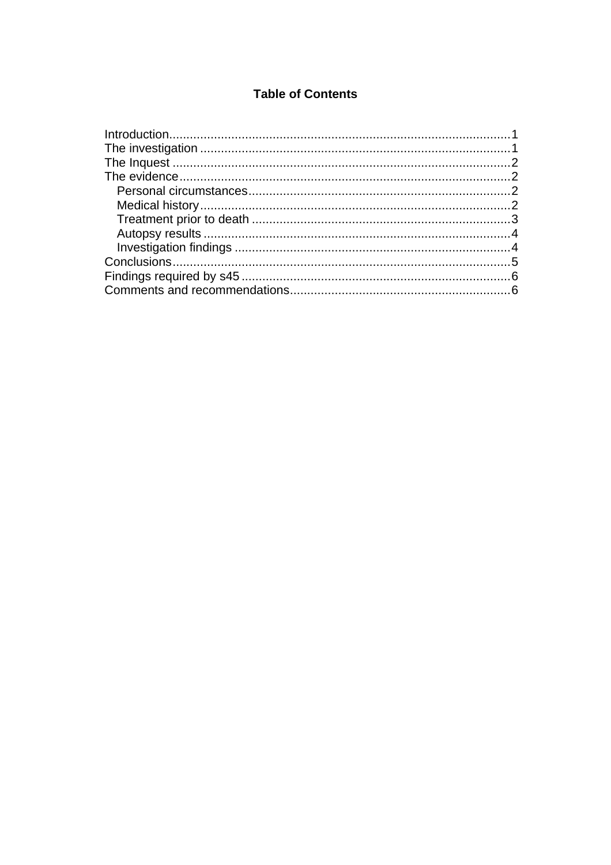## **Table of Contents**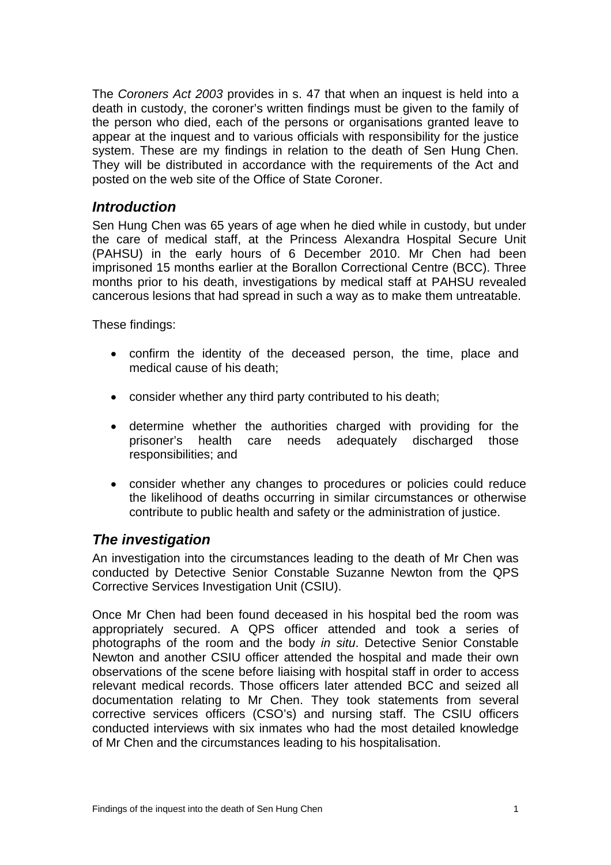<span id="page-2-0"></span>The *Coroners Act 2003* provides in s. 47 that when an inquest is held into a death in custody, the coroner's written findings must be given to the family of the person who died, each of the persons or organisations granted leave to appear at the inquest and to various officials with responsibility for the justice system. These are my findings in relation to the death of Sen Hung Chen. They will be distributed in accordance with the requirements of the Act and posted on the web site of the Office of State Coroner.

## *Introduction*

Sen Hung Chen was 65 years of age when he died while in custody, but under the care of medical staff, at the Princess Alexandra Hospital Secure Unit (PAHSU) in the early hours of 6 December 2010. Mr Chen had been imprisoned 15 months earlier at the Borallon Correctional Centre (BCC). Three months prior to his death, investigations by medical staff at PAHSU revealed cancerous lesions that had spread in such a way as to make them untreatable.

These findings:

- confirm the identity of the deceased person, the time, place and medical cause of his death;
- consider whether any third party contributed to his death;
- determine whether the authorities charged with providing for the prisoner's health care needs adequately discharged those responsibilities; and
- consider whether any changes to procedures or policies could reduce the likelihood of deaths occurring in similar circumstances or otherwise contribute to public health and safety or the administration of justice.

# *The investigation*

An investigation into the circumstances leading to the death of Mr Chen was conducted by Detective Senior Constable Suzanne Newton from the QPS Corrective Services Investigation Unit (CSIU).

Once Mr Chen had been found deceased in his hospital bed the room was appropriately secured. A QPS officer attended and took a series of photographs of the room and the body *in situ*. Detective Senior Constable Newton and another CSIU officer attended the hospital and made their own observations of the scene before liaising with hospital staff in order to access relevant medical records. Those officers later attended BCC and seized all documentation relating to Mr Chen. They took statements from several corrective services officers (CSO's) and nursing staff. The CSIU officers conducted interviews with six inmates who had the most detailed knowledge of Mr Chen and the circumstances leading to his hospitalisation.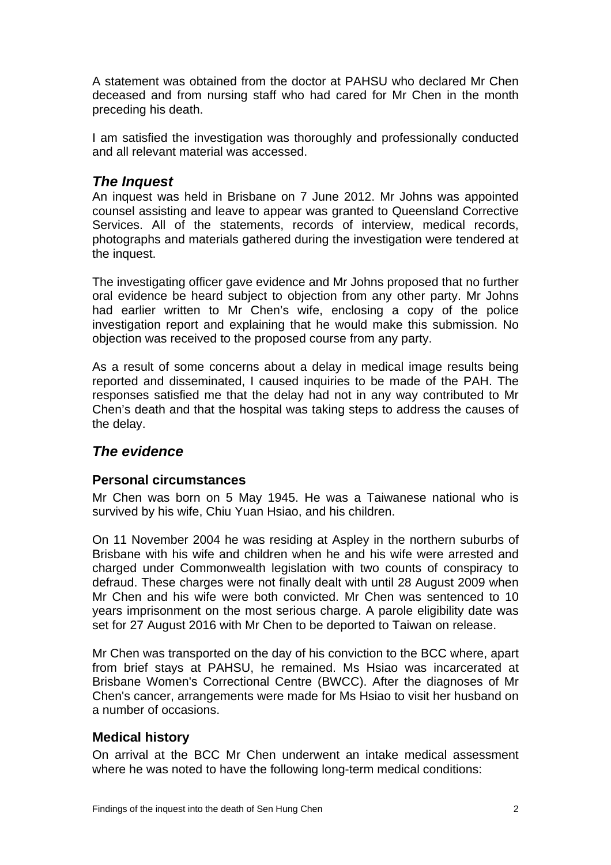<span id="page-3-0"></span>A statement was obtained from the doctor at PAHSU who declared Mr Chen deceased and from nursing staff who had cared for Mr Chen in the month preceding his death.

I am satisfied the investigation was thoroughly and professionally conducted and all relevant material was accessed.

## *The Inquest*

An inquest was held in Brisbane on 7 June 2012. Mr Johns was appointed counsel assisting and leave to appear was granted to Queensland Corrective Services. All of the statements, records of interview, medical records, photographs and materials gathered during the investigation were tendered at the inquest.

The investigating officer gave evidence and Mr Johns proposed that no further oral evidence be heard subject to objection from any other party. Mr Johns had earlier written to Mr Chen's wife, enclosing a copy of the police investigation report and explaining that he would make this submission. No objection was received to the proposed course from any party.

As a result of some concerns about a delay in medical image results being reported and disseminated, I caused inquiries to be made of the PAH. The responses satisfied me that the delay had not in any way contributed to Mr Chen's death and that the hospital was taking steps to address the causes of the delay.

# *The evidence*

#### **Personal circumstances**

Mr Chen was born on 5 May 1945. He was a Taiwanese national who is survived by his wife, Chiu Yuan Hsiao, and his children.

On 11 November 2004 he was residing at Aspley in the northern suburbs of Brisbane with his wife and children when he and his wife were arrested and charged under Commonwealth legislation with two counts of conspiracy to defraud. These charges were not finally dealt with until 28 August 2009 when Mr Chen and his wife were both convicted. Mr Chen was sentenced to 10 years imprisonment on the most serious charge. A parole eligibility date was set for 27 August 2016 with Mr Chen to be deported to Taiwan on release.

Mr Chen was transported on the day of his conviction to the BCC where, apart from brief stays at PAHSU, he remained. Ms Hsiao was incarcerated at Brisbane Women's Correctional Centre (BWCC). After the diagnoses of Mr Chen's cancer, arrangements were made for Ms Hsiao to visit her husband on a number of occasions.

## **Medical history**

On arrival at the BCC Mr Chen underwent an intake medical assessment where he was noted to have the following long-term medical conditions: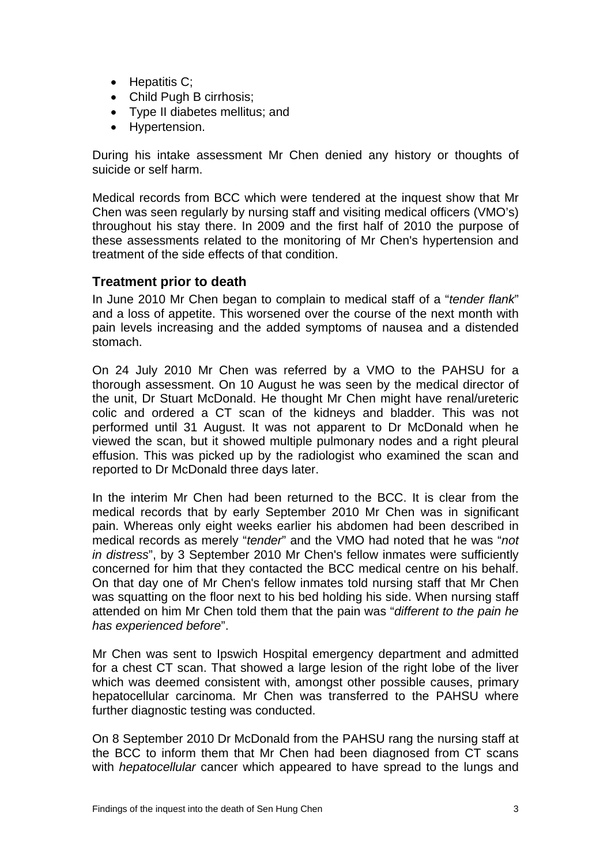- <span id="page-4-0"></span>• Hepatitis C:
- Child Pugh B cirrhosis;
- Type II diabetes mellitus; and
- Hypertension.

During his intake assessment Mr Chen denied any history or thoughts of suicide or self harm.

Medical records from BCC which were tendered at the inquest show that Mr Chen was seen regularly by nursing staff and visiting medical officers (VMO's) throughout his stay there. In 2009 and the first half of 2010 the purpose of these assessments related to the monitoring of Mr Chen's hypertension and treatment of the side effects of that condition.

#### **Treatment prior to death**

In June 2010 Mr Chen began to complain to medical staff of a "*tender flank*" and a loss of appetite. This worsened over the course of the next month with pain levels increasing and the added symptoms of nausea and a distended stomach.

On 24 July 2010 Mr Chen was referred by a VMO to the PAHSU for a thorough assessment. On 10 August he was seen by the medical director of the unit, Dr Stuart McDonald. He thought Mr Chen might have renal/ureteric colic and ordered a CT scan of the kidneys and bladder. This was not performed until 31 August. It was not apparent to Dr McDonald when he viewed the scan, but it showed multiple pulmonary nodes and a right pleural effusion. This was picked up by the radiologist who examined the scan and reported to Dr McDonald three days later.

In the interim Mr Chen had been returned to the BCC. It is clear from the medical records that by early September 2010 Mr Chen was in significant pain. Whereas only eight weeks earlier his abdomen had been described in medical records as merely "*tender*" and the VMO had noted that he was "*not in distress*", by 3 September 2010 Mr Chen's fellow inmates were sufficiently concerned for him that they contacted the BCC medical centre on his behalf. On that day one of Mr Chen's fellow inmates told nursing staff that Mr Chen was squatting on the floor next to his bed holding his side. When nursing staff attended on him Mr Chen told them that the pain was "*different to the pain he has experienced before*".

Mr Chen was sent to Ipswich Hospital emergency department and admitted for a chest CT scan. That showed a large lesion of the right lobe of the liver which was deemed consistent with, amongst other possible causes, primary hepatocellular carcinoma. Mr Chen was transferred to the PAHSU where further diagnostic testing was conducted.

On 8 September 2010 Dr McDonald from the PAHSU rang the nursing staff at the BCC to inform them that Mr Chen had been diagnosed from CT scans with *hepatocellular* cancer which appeared to have spread to the lungs and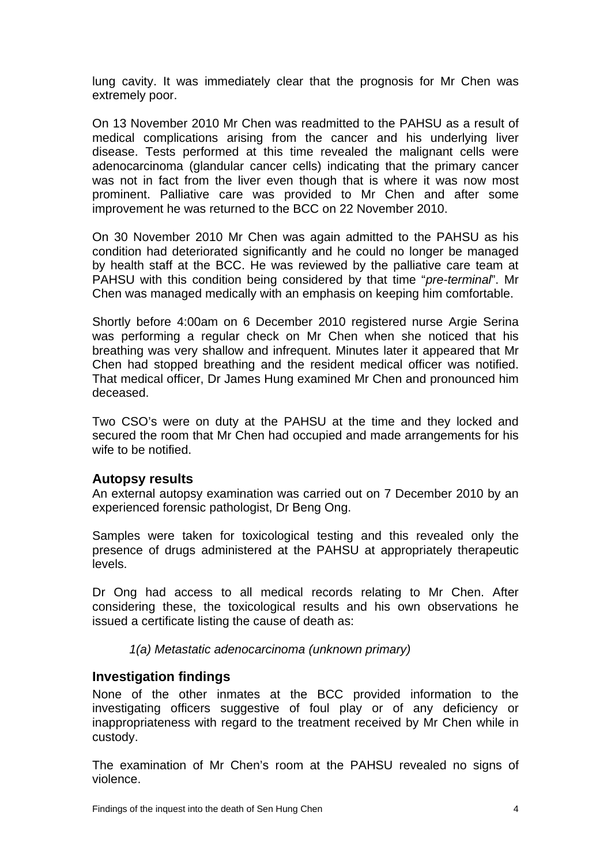<span id="page-5-0"></span>lung cavity. It was immediately clear that the prognosis for Mr Chen was extremely poor.

On 13 November 2010 Mr Chen was readmitted to the PAHSU as a result of medical complications arising from the cancer and his underlying liver disease. Tests performed at this time revealed the malignant cells were adenocarcinoma (glandular cancer cells) indicating that the primary cancer was not in fact from the liver even though that is where it was now most prominent. Palliative care was provided to Mr Chen and after some improvement he was returned to the BCC on 22 November 2010.

On 30 November 2010 Mr Chen was again admitted to the PAHSU as his condition had deteriorated significantly and he could no longer be managed by health staff at the BCC. He was reviewed by the palliative care team at PAHSU with this condition being considered by that time "*pre-terminal*". Mr Chen was managed medically with an emphasis on keeping him comfortable.

Shortly before 4:00am on 6 December 2010 registered nurse Argie Serina was performing a regular check on Mr Chen when she noticed that his breathing was very shallow and infrequent. Minutes later it appeared that Mr Chen had stopped breathing and the resident medical officer was notified. That medical officer, Dr James Hung examined Mr Chen and pronounced him deceased.

Two CSO's were on duty at the PAHSU at the time and they locked and secured the room that Mr Chen had occupied and made arrangements for his wife to be notified.

#### **Autopsy results**

An external autopsy examination was carried out on 7 December 2010 by an experienced forensic pathologist, Dr Beng Ong.

Samples were taken for toxicological testing and this revealed only the presence of drugs administered at the PAHSU at appropriately therapeutic levels.

Dr Ong had access to all medical records relating to Mr Chen. After considering these, the toxicological results and his own observations he issued a certificate listing the cause of death as:

*1(a) Metastatic adenocarcinoma (unknown primary)*

#### **Investigation findings**

None of the other inmates at the BCC provided information to the investigating officers suggestive of foul play or of any deficiency or inappropriateness with regard to the treatment received by Mr Chen while in custody.

The examination of Mr Chen's room at the PAHSU revealed no signs of violence.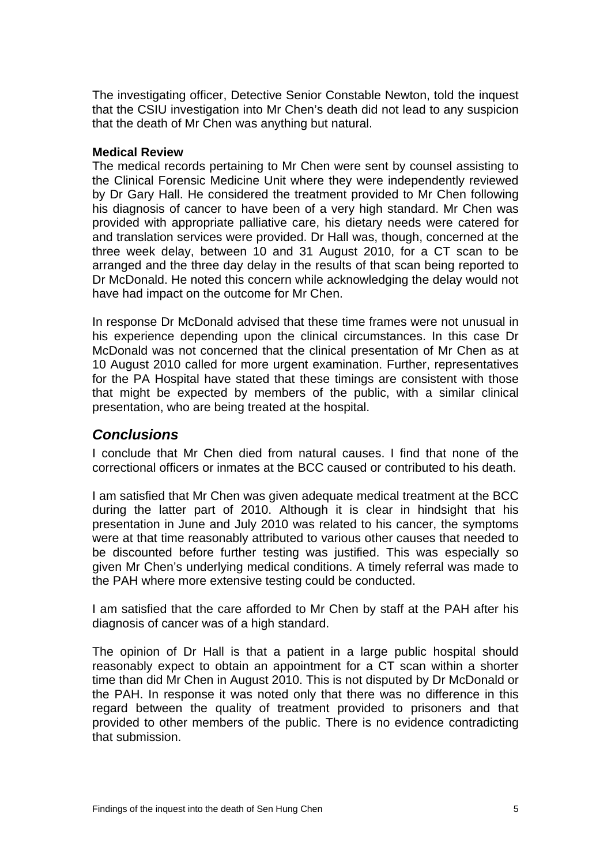<span id="page-6-0"></span>The investigating officer, Detective Senior Constable Newton, told the inquest that the CSIU investigation into Mr Chen's death did not lead to any suspicion that the death of Mr Chen was anything but natural.

#### **Medical Review**

The medical records pertaining to Mr Chen were sent by counsel assisting to the Clinical Forensic Medicine Unit where they were independently reviewed by Dr Gary Hall. He considered the treatment provided to Mr Chen following his diagnosis of cancer to have been of a very high standard. Mr Chen was provided with appropriate palliative care, his dietary needs were catered for and translation services were provided. Dr Hall was, though, concerned at the three week delay, between 10 and 31 August 2010, for a CT scan to be arranged and the three day delay in the results of that scan being reported to Dr McDonald. He noted this concern while acknowledging the delay would not have had impact on the outcome for Mr Chen.

In response Dr McDonald advised that these time frames were not unusual in his experience depending upon the clinical circumstances. In this case Dr McDonald was not concerned that the clinical presentation of Mr Chen as at 10 August 2010 called for more urgent examination. Further, representatives for the PA Hospital have stated that these timings are consistent with those that might be expected by members of the public, with a similar clinical presentation, who are being treated at the hospital.

## *Conclusions*

I conclude that Mr Chen died from natural causes. I find that none of the correctional officers or inmates at the BCC caused or contributed to his death.

I am satisfied that Mr Chen was given adequate medical treatment at the BCC during the latter part of 2010. Although it is clear in hindsight that his presentation in June and July 2010 was related to his cancer, the symptoms were at that time reasonably attributed to various other causes that needed to be discounted before further testing was justified. This was especially so given Mr Chen's underlying medical conditions. A timely referral was made to the PAH where more extensive testing could be conducted.

I am satisfied that the care afforded to Mr Chen by staff at the PAH after his diagnosis of cancer was of a high standard.

The opinion of Dr Hall is that a patient in a large public hospital should reasonably expect to obtain an appointment for a CT scan within a shorter time than did Mr Chen in August 2010. This is not disputed by Dr McDonald or the PAH. In response it was noted only that there was no difference in this regard between the quality of treatment provided to prisoners and that provided to other members of the public. There is no evidence contradicting that submission.